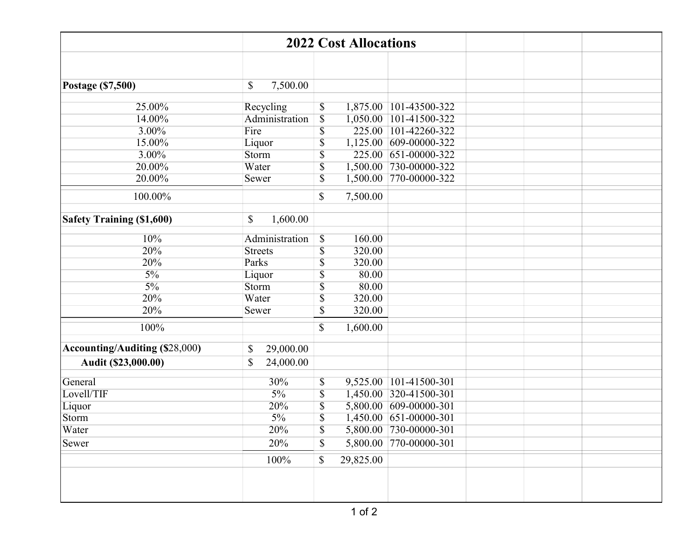| <b>2022 Cost Allocations</b>          |                            |                                            |           |                        |  |  |  |  |
|---------------------------------------|----------------------------|--------------------------------------------|-----------|------------------------|--|--|--|--|
|                                       |                            |                                            |           |                        |  |  |  |  |
|                                       |                            |                                            |           |                        |  |  |  |  |
| Postage (\$7,500)                     | 7,500.00<br>\$             |                                            |           |                        |  |  |  |  |
| 25.00%                                | Recycling                  | \$                                         |           | 1,875.00 101-43500-322 |  |  |  |  |
| 14.00%                                | Administration             | $\overline{\mathcal{S}}$                   |           | 1,050.00 101-41500-322 |  |  |  |  |
| 3.00%                                 | Fire                       | $\overline{\$}$                            |           | 225.00 101-42260-322   |  |  |  |  |
| 15.00%                                | Liquor                     | \$                                         |           | 1,125.00 609-00000-322 |  |  |  |  |
| 3.00%                                 | Storm                      | $\overline{\mathbb{S}}$                    | 225.00    | 651-00000-322          |  |  |  |  |
| 20.00%                                | Water                      |                                            |           |                        |  |  |  |  |
|                                       |                            | $\overline{\$}$                            |           | 1,500.00 730-00000-322 |  |  |  |  |
| 20.00%                                | Sewer                      | $\overline{\$}$                            | 1,500.00  | 770-00000-322          |  |  |  |  |
| 100.00%                               |                            | \$                                         | 7,500.00  |                        |  |  |  |  |
|                                       |                            |                                            |           |                        |  |  |  |  |
| <b>Safety Training (\$1,600)</b>      | 1,600.00<br>\$             |                                            |           |                        |  |  |  |  |
| 10%                                   | Administration             | $\boldsymbol{\mathsf{S}}$                  | 160.00    |                        |  |  |  |  |
| 20%                                   | <b>Streets</b>             | $\overline{\mathbb{S}}$                    | 320.00    |                        |  |  |  |  |
| 20%                                   | Parks                      | $\overline{\mathbb{S}}$                    | 320.00    |                        |  |  |  |  |
| $\frac{5\%}{ }$                       | Liquor                     | \$                                         | 80.00     |                        |  |  |  |  |
| $5\%$                                 | Storm                      |                                            | 80.00     |                        |  |  |  |  |
| 20%                                   | Water                      |                                            | 320.00    |                        |  |  |  |  |
| 20%                                   | Sewer                      |                                            | 320.00    |                        |  |  |  |  |
| 100%                                  |                            | $\overline{\mathbb{S}}$<br>\$              | 1,600.00  |                        |  |  |  |  |
|                                       |                            |                                            |           |                        |  |  |  |  |
| <b>Accounting/Auditing (\$28,000)</b> | \$<br>29,000.00            |                                            |           |                        |  |  |  |  |
| Audit (\$23,000.00)                   | $\mathcal{S}$<br>24,000.00 |                                            |           |                        |  |  |  |  |
| General                               | 30%                        | \$                                         |           | 9,525.00 101-41500-301 |  |  |  |  |
| Lovell/TIF                            | $5\%$                      | $\overline{\mathbb{S}}$                    |           | 1,450.00 320-41500-301 |  |  |  |  |
|                                       | $\overline{20\%}$          | $\overline{\mathbb{S}}$                    |           | 5,800.00 609-00000-301 |  |  |  |  |
| Liquor<br>Storm                       | $5\%$                      | $\overline{\$}$                            |           | 1,450.00 651-00000-301 |  |  |  |  |
| Water                                 | 20%                        |                                            |           | 5,800.00 730-00000-301 |  |  |  |  |
|                                       |                            | $\boldsymbol{\mathsf{S}}$<br>$\mathcal{S}$ |           | 5,800.00 770-00000-301 |  |  |  |  |
| Sewer                                 | 20%                        |                                            |           |                        |  |  |  |  |
|                                       | 100%                       | \$                                         | 29,825.00 |                        |  |  |  |  |
|                                       |                            |                                            |           |                        |  |  |  |  |
|                                       |                            |                                            |           |                        |  |  |  |  |
|                                       |                            |                                            |           |                        |  |  |  |  |